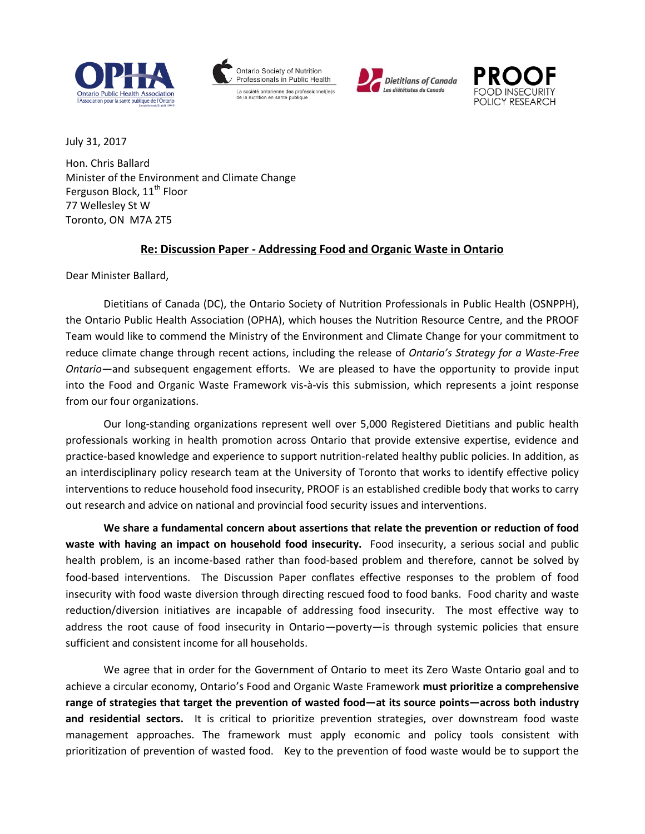







July 31, 2017

Hon. Chris Ballard Minister of the Environment and Climate Change Ferguson Block, 11<sup>th</sup> Floor 77 Wellesley St W Toronto, ON M7A 2T5

#### **Re: Discussion Paper - Addressing Food and Organic Waste in Ontario**

Dear Minister Ballard,

Dietitians of Canada (DC), the Ontario Society of Nutrition Professionals in Public Health (OSNPPH), the Ontario Public Health Association (OPHA), which houses the Nutrition Resource Centre, and the PROOF Team would like to commend the Ministry of the Environment and Climate Change for your commitment to reduce climate change through recent actions, including the release of *Ontario's Strategy for a Waste-Free Ontario—*and subsequent engagement efforts. We are pleased to have the opportunity to provide input into the Food and Organic Waste Framework vis-à-vis this submission, which represents a joint response from our four organizations.

Our long-standing organizations represent well over 5,000 Registered Dietitians and public health professionals working in health promotion across Ontario that provide extensive expertise, evidence and practice-based knowledge and experience to support nutrition-related healthy public policies. In addition, as an interdisciplinary policy research team at the University of Toronto that works to identify effective policy interventions to reduce household food insecurity, PROOF is an established credible body that works to carry out research and advice on national and provincial food security issues and interventions.

**We share a fundamental concern about assertions that relate the prevention or reduction of food waste with having an impact on household food insecurity.** Food insecurity, a serious social and public health problem, is an income-based rather than food-based problem and therefore, cannot be solved by food-based interventions. The Discussion Paper conflates effective responses to the problem of food insecurity with food waste diversion through directing rescued food to food banks. Food charity and waste reduction/diversion initiatives are incapable of addressing food insecurity. The most effective way to address the root cause of food insecurity in Ontario—poverty—is through systemic policies that ensure sufficient and consistent income for all households.

We agree that in order for the Government of Ontario to meet its Zero Waste Ontario goal and to achieve a circular economy, Ontario's Food and Organic Waste Framework **must prioritize a comprehensive range of strategies that target the prevention of wasted food—at its source points—across both industry and residential sectors.** It is critical to prioritize prevention strategies, over downstream food waste management approaches. The framework must apply economic and policy tools consistent with prioritization of prevention of wasted food. Key to the prevention of food waste would be to support the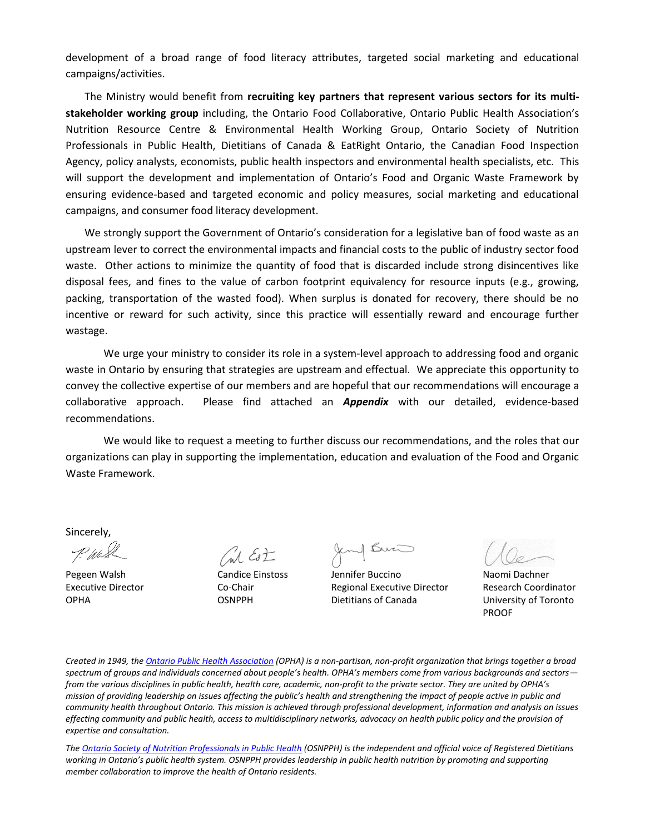development of a broad range of food literacy attributes, targeted social marketing and educational campaigns/activities.

The Ministry would benefit from **recruiting key partners that represent various sectors for its multistakeholder working group** including, the Ontario Food Collaborative, Ontario Public Health Association's Nutrition Resource Centre & Environmental Health Working Group, Ontario Society of Nutrition Professionals in Public Health, Dietitians of Canada & EatRight Ontario, the Canadian Food Inspection Agency, policy analysts, economists, public health inspectors and environmental health specialists, etc. This will support the development and implementation of Ontario's Food and Organic Waste Framework by ensuring evidence-based and targeted economic and policy measures, social marketing and educational campaigns, and consumer food literacy development.

We strongly support the Government of Ontario's consideration for a legislative ban of food waste as an upstream lever to correct the environmental impacts and financial costs to the public of industry sector food waste. Other actions to minimize the quantity of food that is discarded include strong disincentives like disposal fees, and fines to the value of carbon footprint equivalency for resource inputs (e.g., growing, packing, transportation of the wasted food). When surplus is donated for recovery, there should be no incentive or reward for such activity, since this practice will essentially reward and encourage further wastage.

We urge your ministry to consider its role in a system-level approach to addressing food and organic waste in Ontario by ensuring that strategies are upstream and effectual. We appreciate this opportunity to convey the collective expertise of our members and are hopeful that our recommendations will encourage a collaborative approach. Please find attached an *Appendix* with our detailed, evidence-based recommendations.

We would like to request a meeting to further discuss our recommendations, and the roles that our organizations can play in supporting the implementation, education and evaluation of the Food and Organic Waste Framework.

Sincerely,

 $M$  Est

Jemp Burn

Pegeen Walsh Candice Einstoss Jennifer Buccino Naomi Dachner Executive Director Co-Chair Regional Executive Director Research Coordinator OPHA OSNPPH Dietitians of Canada University of Toronto

PROOF

*Created in 1949, th[e Ontario Public Health Association](http://opha.on.ca/Home.aspx) (OPHA) is a non-partisan, non-profit organization that brings together a broad spectrum of groups and individuals concerned about people's health. OPHA's members come from various backgrounds and sectors from the various disciplines in public health, health care, academic, non-profit to the private sector. They are united by OPHA's mission of providing leadership on issues affecting the public's health and strengthening the impact of people active in public and community health throughout Ontario. This mission is achieved through professional development, information and analysis on issues effecting community and public health, access to multidisciplinary networks, advocacy on health public policy and the provision of expertise and consultation.*

*The [Ontario Society of Nutrition Professionals in Public Health](http://www.osnpph.on.ca/) (OSNPPH) is the independent and official voice of Registered Dietitians working in Ontario's public health system. OSNPPH provides leadership in public health nutrition by promoting and supporting member collaboration to improve the health of Ontario residents.*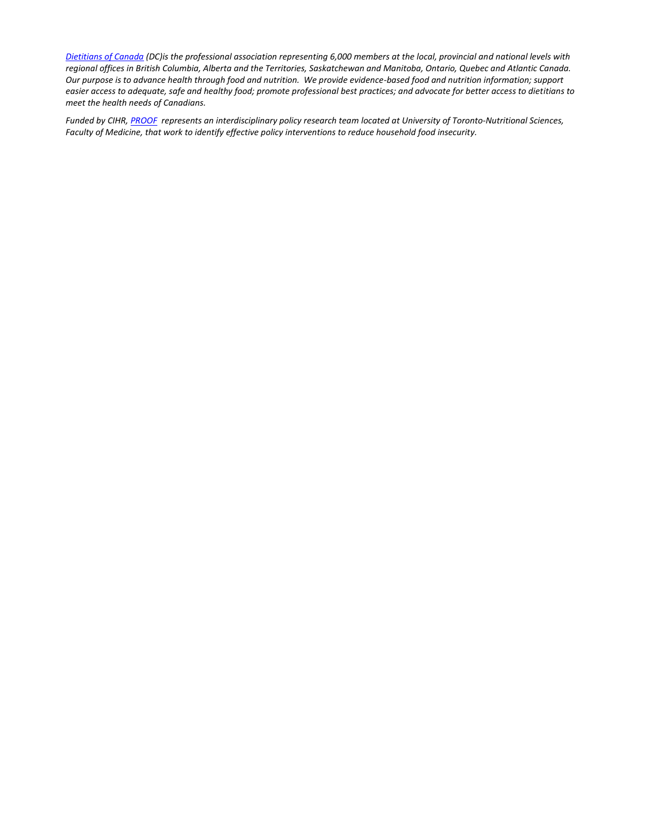*[Dietitians of Canada](https://www.dietitians.ca/) (DC)is the professional association representing 6,000 members at the local, provincial and national levels with regional offices in British Columbia, Alberta and the Territories, Saskatchewan and Manitoba, Ontario, Quebec and Atlantic Canada. Our purpose is to advance health through food and nutrition. We provide evidence-based food and nutrition information; support easier access to adequate, safe and healthy food; promote professional best practices; and advocate for better access to dietitians to meet the health needs of Canadians.*

*Funded by CIHR, [PROOF](http://proof.utoronto.ca/) represents an interdisciplinary policy research team located at University of Toronto-Nutritional Sciences, Faculty of Medicine, that work to identify effective policy interventions to reduce household food insecurity.*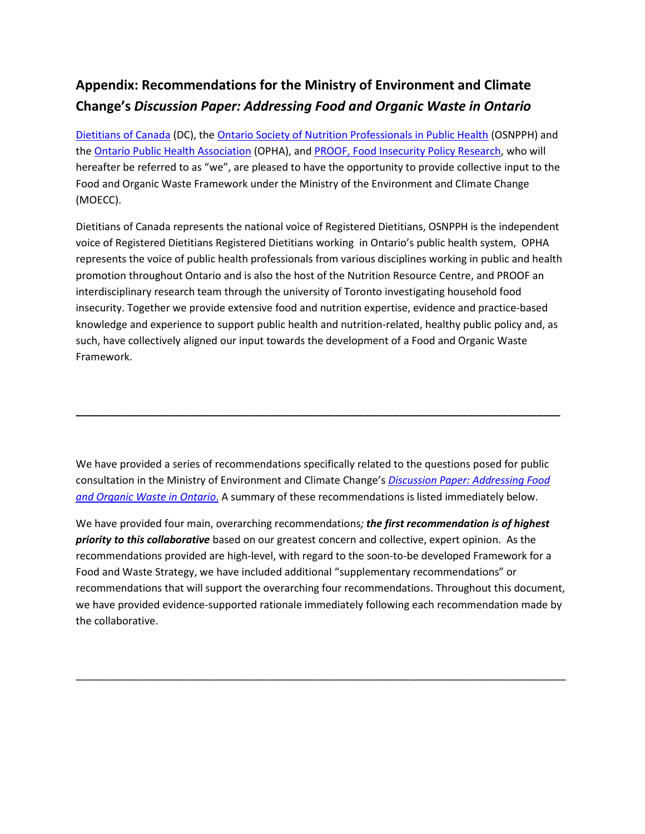## **Appendix: Recommendations for the Ministry of Environment and Climate Change's** *Discussion Paper: Addressing Food and Organic Waste in Ontario*

[Dietitians of Canada](https://www.dietitians.ca/About-DC.aspx) (DC), the [Ontario Society of Nutrition Professionals in Public Health](https://www.osnpph.on.ca/about-us) (OSNPPH) and th[e Ontario Public Health Association](http://www.opha.on.ca/About-OPHA.aspx) (OPHA), and PROOF, [Food Insecurity Policy Research,](http://proof.utoronto.ca/about-proof/) who will hereafter be referred to as "we", are pleased to have the opportunity to provide collective input to the Food and Organic Waste Framework under the Ministry of the Environment and Climate Change (MOECC).

Dietitians of Canada represents the national voice of Registered Dietitians, OSNPPH is the independent voice of Registered Dietitians Registered Dietitians working in Ontario's public health system, OPHA represents the voice of public health professionals from various disciplines working in public and health promotion throughout Ontario and is also the host of the Nutrition Resource Centre, and PROOF an interdisciplinary research team through the university of Toronto investigating household food insecurity. Together we provide extensive food and nutrition expertise, evidence and practice-based knowledge and experience to support public health and nutrition-related, healthy public policy and, as such, have collectively aligned our input towards the development of a Food and Organic Waste Framework.

We have provided a series of recommendations specifically related to the questions posed for public consultation in the Ministry of Environment and Climate Change's *[Discussion Paper: Addressing Food](http://www.downloads.ene.gov.on.ca/envision/env_reg/er/documents/2017/013-0094_DiscussionPaper.pdf)  [and Organic Waste in Ontario](http://www.downloads.ene.gov.on.ca/envision/env_reg/er/documents/2017/013-0094_DiscussionPaper.pdf)*. A summary of these recommendations is listed immediately below.

**\_\_\_\_\_\_\_\_\_\_\_\_\_\_\_\_\_\_\_\_\_\_\_\_\_\_\_\_\_\_\_\_\_\_\_\_\_\_\_\_\_\_\_\_\_\_\_\_\_\_\_\_\_\_\_\_\_\_\_\_\_\_\_\_\_\_\_\_\_\_\_\_\_\_\_\_\_\_\_\_\_\_\_\_**

We have provided four main, overarching recommendations*; the first recommendation is of highest priority to this collaborative* based on our greatest concern and collective, expert opinion. As the recommendations provided are high-level, with regard to the soon-to-be developed Framework for a Food and Waste Strategy, we have included additional "supplementary recommendations" or recommendations that will support the overarching four recommendations. Throughout this document, we have provided evidence-supported rationale immediately following each recommendation made by the collaborative.

\_\_\_\_\_\_\_\_\_\_\_\_\_\_\_\_\_\_\_\_\_\_\_\_\_\_\_\_\_\_\_\_\_\_\_\_\_\_\_\_\_\_\_\_\_\_\_\_\_\_\_\_\_\_\_\_\_\_\_\_\_\_\_\_\_\_\_\_\_\_\_\_\_\_\_\_\_\_\_\_\_\_\_\_\_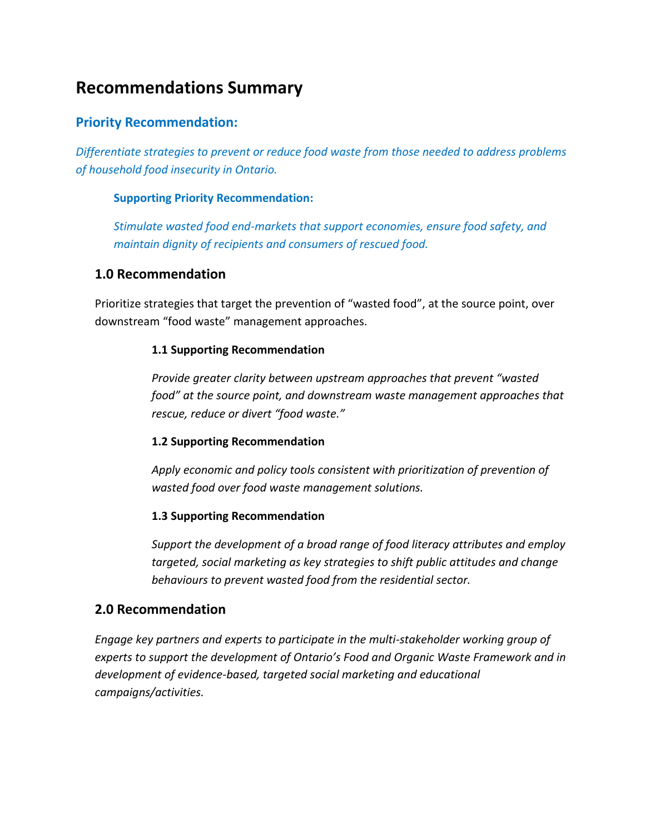# **Recommendations Summary**

### **Priority Recommendation:**

*Differentiate strategies to prevent or reduce food waste from those needed to address problems of household food insecurity in Ontario.*

#### **Supporting Priority Recommendation:**

*Stimulate wasted food end-markets that support economies, ensure food safety, and maintain dignity of recipients and consumers of rescued food.* 

#### **1.0 Recommendation**

Prioritize strategies that target the prevention of "wasted food", at the source point, over downstream "food waste" management approaches.

#### **1.1 Supporting Recommendation**

*Provide greater clarity between upstream approaches that prevent "wasted food" at the source point, and downstream waste management approaches that rescue, reduce or divert "food waste."*

#### **1.2 Supporting Recommendation**

*Apply economic and policy tools consistent with prioritization of prevention of wasted food over food waste management solutions.*

#### **1.3 Supporting Recommendation**

*Support the development of a broad range of food literacy attributes and employ targeted, social marketing as key strategies to shift public attitudes and change behaviours to prevent wasted food from the residential sector.* 

### **2.0 Recommendation**

*Engage key partners and experts to participate in the multi-stakeholder working group of experts to support the development of Ontario's Food and Organic Waste Framework and in development of evidence-based, targeted social marketing and educational campaigns/activities.*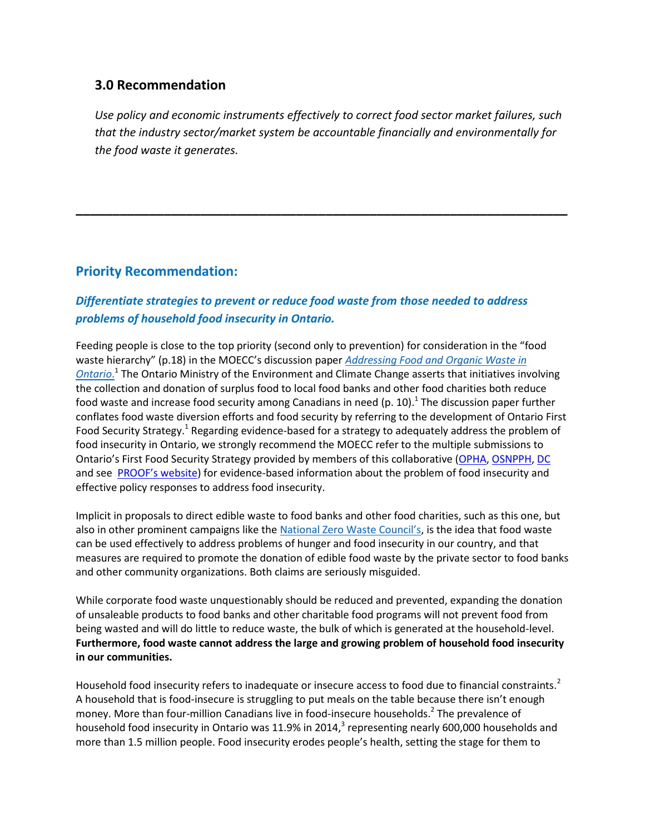#### **3.0 Recommendation**

*Use policy and economic instruments effectively to correct food sector market failures, such that the industry sector/market system be accountable financially and environmentally for the food waste it generates.*

**\_\_\_\_\_\_\_\_\_\_\_\_\_\_\_\_\_\_\_\_\_\_\_\_\_\_\_\_\_\_\_\_\_\_\_\_\_\_\_\_\_\_\_\_\_\_\_\_\_\_\_\_\_\_\_\_\_\_\_\_\_\_\_\_\_\_\_**

### **Priority Recommendation:**

### *Differentiate strategies to prevent or reduce food waste from those needed to address problems of household food insecurity in Ontario.*

Feeding people is close to the top priority (second only to prevention) for consideration in the "food waste hierarchy" (p.18) in the MOECC's discussion paper *[Addressing Food and Organic Waste in](http://www.downloads.ene.gov.on.ca/envision/env_reg/er/documents/2017/013-0094_DiscussionPaper.pdf)*  **[Ontario](http://www.downloads.ene.gov.on.ca/envision/env_reg/er/documents/2017/013-0094_DiscussionPaper.pdf).**<sup>1</sup> The Ontario Ministry of the Environment and Climate Change asserts that initiatives involving the collection and donation of surplus food to local food banks and other food charities both reduce food waste and increase food security among Canadians in need (p. 10).<sup>1</sup> The discussion paper further conflates food waste diversion efforts and food security by referring to the development of Ontario First Food Security Strategy.<sup>1</sup> Regarding evidence-based for a strategy to adequately address the problem of food insecurity in Ontario, we strongly recommend the MOECC refer to the multiple submissions to Ontario's First Food Security Strategy provided by members of this collaborative ([OPHA,](http://www.opha.on.ca/getmedia/f3ca7524-3587-4374-8c09-f96c91534534/OPHA-Response-to-Ontario-Food-Security-Strategy-May-2017_1.pdf.aspx?ext=.pdf) [OSNPPH,](https://www.osnpph.on.ca/upload/membership/document/2017-06/osnpph-response-to-ofss-31my17.pdf#upload/membership/document/2017-06/osnpph-response-to-ofss-31my17.pdf) [DC](file:///D:/Food%20Waste%20Resources/GOV%20ON/Draft%201%20feedback/:%20https:/www.dietitians.ca/Downloads/Public/2017-05-DC-response-to-Ontario-Food-Security-Strat.aspx) and see [PROOF's website](http://proof.utoronto.ca/resources/proof-annual-reports/annual-report-2014/)) for evidence-based information about the problem of food insecurity and effective policy responses to address food insecurity.

Implicit in proposals to direct edible waste to food banks and other food charities, such as this one, but also in other prominent campaigns like the [National Zero Waste Council's](http://www.nzwc.ca/Pages/default.aspx), is the idea that food waste can be used effectively to address problems of hunger and food insecurity in our country, and that measures are required to promote the donation of edible food waste by the private sector to food banks and other community organizations. Both claims are seriously misguided.

While corporate food waste unquestionably should be reduced and prevented, expanding the donation of unsaleable products to food banks and other charitable food programs will not prevent food from being wasted and will do little to reduce waste, the bulk of which is generated at the household-level. **Furthermore, food waste cannot address the large and growing problem of household food insecurity in our communities.** 

Household food insecurity refers to inadequate or insecure access to food due to financial constraints.<sup>2</sup> A household that is food-insecure is struggling to put meals on the table because there isn't enough money. More than four-million Canadians live in food-insecure households.<sup>2</sup> The prevalence of household food insecurity in Ontario was 11.9% in 2014,<sup>3</sup> representing nearly 600,000 households and more than 1.5 million people. Food insecurity erodes people's health, setting the stage for them to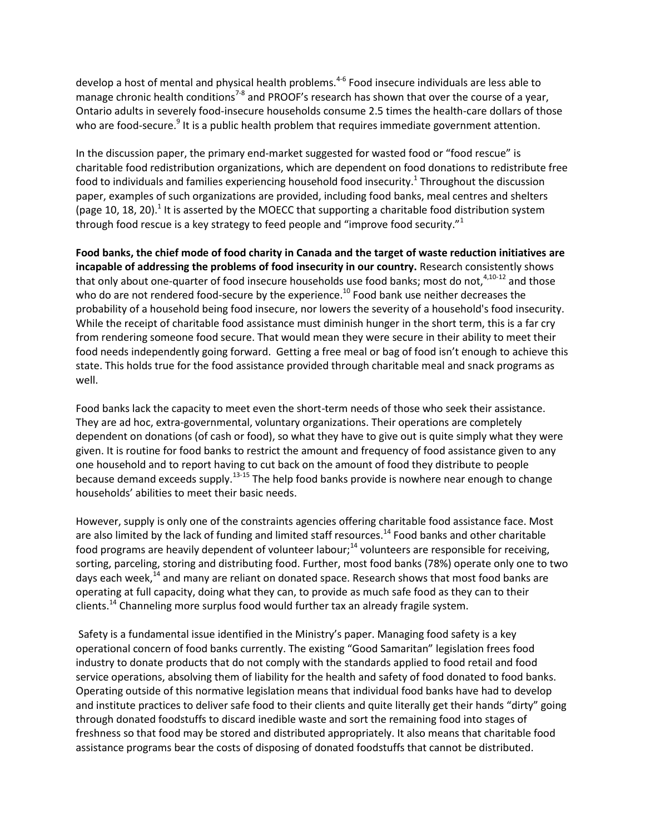develop a host of mental and physical health problems.<sup>4-6</sup> Food insecure individuals are less able to manage chronic health conditions<sup>7-8</sup> and PROOF's research has shown that over the course of a year, Ontario adults in severely food-insecure households consume 2.5 times the health-care dollars of those who are food-secure.<sup>9</sup> It is a public health problem that requires immediate government attention.

In the discussion paper, the primary end-market suggested for wasted food or "food rescue" is charitable food redistribution organizations, which are dependent on food donations to redistribute free food to individuals and families experiencing household food insecurity.<sup>1</sup> Throughout the discussion paper, examples of such organizations are provided, including food banks, meal centres and shelters (page 10, 18, 20).<sup>1</sup> It is asserted by the MOECC that supporting a charitable food distribution system through food rescue is a key strategy to feed people and "improve food security." $1$ 

**Food banks, the chief mode of food charity in Canada and the target of waste reduction initiatives are incapable of addressing the problems of food insecurity in our country.** Research consistently shows that only about one-quarter of food insecure households use food banks; most do not,  $4,10-12$  and those who do are not rendered food-secure by the experience.<sup>10</sup> Food bank use neither decreases the probability of a household being food insecure, nor lowers the severity of a household's food insecurity. While the receipt of charitable food assistance must diminish hunger in the short term, this is a far cry from rendering someone food secure. That would mean they were secure in their ability to meet their food needs independently going forward. Getting a free meal or bag of food isn't enough to achieve this state. This holds true for the food assistance provided through charitable meal and snack programs as well.

Food banks lack the capacity to meet even the short-term needs of those who seek their assistance. They are ad hoc, extra-governmental, voluntary organizations. Their operations are completely dependent on donations (of cash or food), so what they have to give out is quite simply what they were given. It is routine for food banks to restrict the amount and frequency of food assistance given to any one household and to report having to cut back on the amount of food they distribute to people because demand exceeds supply.13-15 The help food banks provide is nowhere near enough to change households' abilities to meet their basic needs.

However, supply is only one of the constraints agencies offering charitable food assistance face. Most are also limited by the lack of funding and limited staff resources.<sup>14</sup> Food banks and other charitable food programs are heavily dependent of volunteer labour;<sup>14</sup> volunteers are responsible for receiving, sorting, parceling, storing and distributing food. Further, most food banks (78%) operate only one to two days each week, $^{14}$  and many are reliant on donated space. Research shows that most food banks are operating at full capacity, doing what they can, to provide as much safe food as they can to their clients.<sup>14</sup> Channeling more surplus food would further tax an already fragile system.

Safety is a fundamental issue identified in the Ministry's paper. Managing food safety is a key operational concern of food banks currently. The existing "Good Samaritan" legislation frees food industry to donate products that do not comply with the standards applied to food retail and food service operations, absolving them of liability for the health and safety of food donated to food banks. Operating outside of this normative legislation means that individual food banks have had to develop and institute practices to deliver safe food to their clients and quite literally get their hands "dirty" going through donated foodstuffs to discard inedible waste and sort the remaining food into stages of freshness so that food may be stored and distributed appropriately. It also means that charitable food assistance programs bear the costs of disposing of donated foodstuffs that cannot be distributed.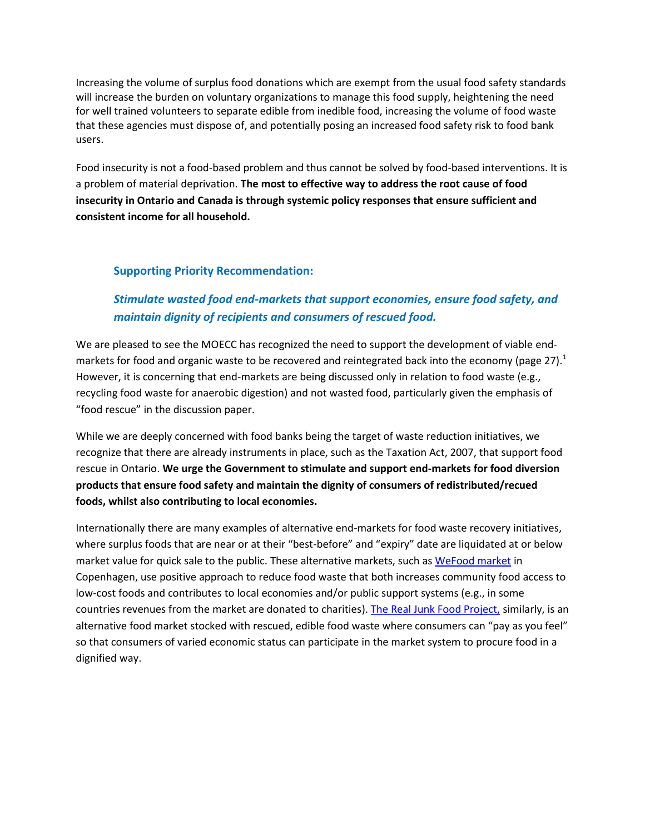Increasing the volume of surplus food donations which are exempt from the usual food safety standards will increase the burden on voluntary organizations to manage this food supply, heightening the need for well trained volunteers to separate edible from inedible food, increasing the volume of food waste that these agencies must dispose of, and potentially posing an increased food safety risk to food bank users.

Food insecurity is not a food-based problem and thus cannot be solved by food-based interventions. It is a problem of material deprivation. **The most to effective way to address the root cause of food insecurity in Ontario and Canada is through systemic policy responses that ensure sufficient and consistent income for all household.**

#### **Supporting Priority Recommendation:**

### *Stimulate wasted food end-markets that support economies, ensure food safety, and maintain dignity of recipients and consumers of rescued food.*

We are pleased to see the MOECC has recognized the need to support the development of viable endmarkets for food and organic waste to be recovered and reintegrated back into the economy (page 27).<sup>1</sup> However, it is concerning that end-markets are being discussed only in relation to food waste (e.g., recycling food waste for anaerobic digestion) and not wasted food, particularly given the emphasis of "food rescue" in the discussion paper.

While we are deeply concerned with food banks being the target of waste reduction initiatives, we recognize that there are already instruments in place, such as the Taxation Act, 2007, that support food rescue in Ontario. **We urge the Government to stimulate and support end-markets for food diversion products that ensure food safety and maintain the dignity of consumers of redistributed/recued foods, whilst also contributing to local economies.** 

Internationally there are many examples of alternative end-markets for food waste recovery initiatives, where surplus foods that are near or at their "best-before" and "expiry" date are liquidated at or below market value for quick sale to the public. These alternative markets, such as [WeFood market](http://www.independent.co.uk/news/world/europe/denmark-food-waste-supermarket-we-food-copenhagen-surplus-produce-a6890621.html) in Copenhagen, use positive approach to reduce food waste that both increases community food access to low-cost foods and contributes to local economies and/or public support systems (e.g., in some countries revenues from the market are donated to charities). [The Real Junk Food Project,](http://therealjunkfoodproject.org/about/) similarly, is an alternative food market stocked with rescued, edible food waste where consumers can "pay as you feel" so that consumers of varied economic status can participate in the market system to procure food in a dignified way.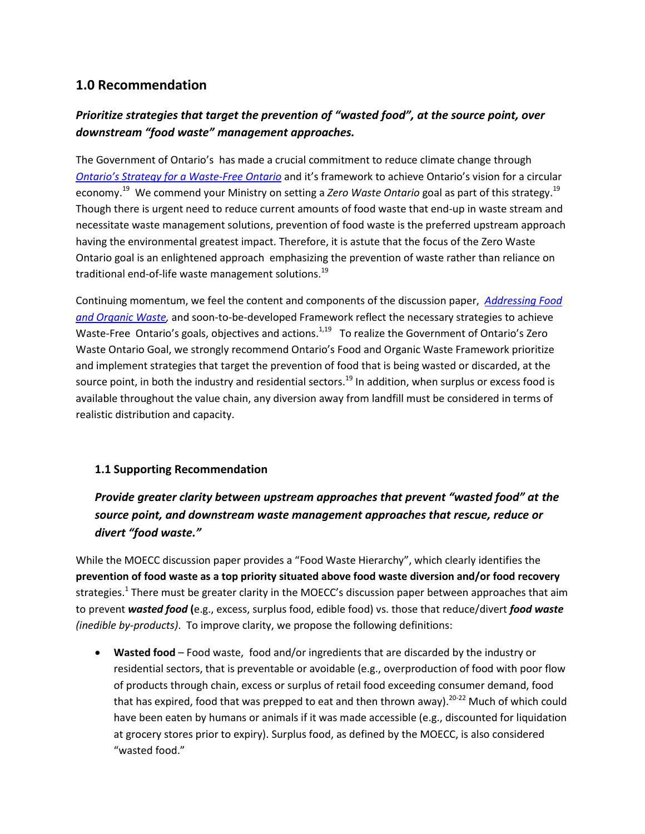### **1.0 Recommendation**

### *Prioritize strategies that target the prevention of "wasted food", at the source point, over downstream "food waste" management approaches.*

The Government of Ontario's has made a crucial commitment to reduce climate change through *[Ontario's Strategy for a Waste](https://files.ontario.ca/finalstrategywastefreeont_eng_aoda1_final-s.pdf)-Free Ontario* and it's framework to achieve Ontario's vision for a circular economy.<sup>19</sup> We commend your Ministry on setting a *Zero Waste Ontario* goal as part of this strategy. 19 Though there is urgent need to reduce current amounts of food waste that end-up in waste stream and necessitate waste management solutions, prevention of food waste is the preferred upstream approach having the environmental greatest impact. Therefore, it is astute that the focus of the Zero Waste Ontario goal is an enlightened approach emphasizing the prevention of waste rather than reliance on traditional end-of-life waste management solutions. 19

Continuing momentum, we feel the content and components of the discussion paper, *[Addressing Food](https://files.ontario.ca/finalstrategywastefreeont_eng_aoda1_final-s.pdf)  [and Organic Waste,](https://files.ontario.ca/finalstrategywastefreeont_eng_aoda1_final-s.pdf)* and soon-to-be-developed Framework reflect the necessary strategies to achieve Waste-Free Ontario's goals, objectives and actions.<sup>1,19</sup> To realize the Government of Ontario's Zero Waste Ontario Goal, we strongly recommend Ontario's Food and Organic Waste Framework prioritize and implement strategies that target the prevention of food that is being wasted or discarded, at the source point, in both the industry and residential sectors.<sup>19</sup> In addition, when surplus or excess food is available throughout the value chain, any diversion away from landfill must be considered in terms of realistic distribution and capacity.

#### **1.1 Supporting Recommendation**

*Provide greater clarity between upstream approaches that prevent "wasted food" at the source point, and downstream waste management approaches that rescue, reduce or divert "food waste."*

While the MOECC discussion paper provides a "Food Waste Hierarchy", which clearly identifies the **prevention of food waste as a top priority situated above food waste diversion and/or food recovery**  strategies.<sup>1</sup> There must be greater clarity in the MOECC's discussion paper between approaches that aim to prevent *wasted food* **(**e.g., excess, surplus food, edible food) vs. those that reduce/divert *food waste (inedible by-products)*. To improve clarity, we propose the following definitions:

 **Wasted food** – Food waste, food and/or ingredients that are discarded by the industry or residential sectors, that is preventable or avoidable (e.g., overproduction of food with poor flow of products through chain, excess or surplus of retail food exceeding consumer demand, food that has expired, food that was prepped to eat and then thrown away).<sup>20-22</sup> Much of which could have been eaten by humans or animals if it was made accessible (e.g., discounted for liquidation at grocery stores prior to expiry). Surplus food, as defined by the MOECC, is also considered "wasted food."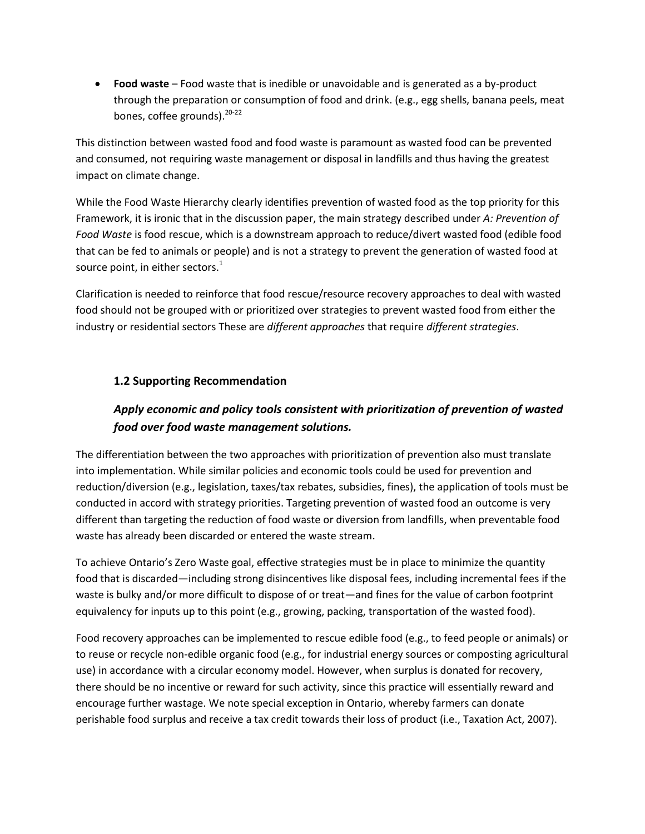**Food waste** – Food waste that is inedible or unavoidable and is generated as a by-product through the preparation or consumption of food and drink. (e.g., egg shells, banana peels, meat bones, coffee grounds).<sup>20-22</sup>

This distinction between wasted food and food waste is paramount as wasted food can be prevented and consumed, not requiring waste management or disposal in landfills and thus having the greatest impact on climate change.

While the Food Waste Hierarchy clearly identifies prevention of wasted food as the top priority for this Framework, it is ironic that in the discussion paper, the main strategy described under *A: Prevention of Food Waste* is food rescue, which is a downstream approach to reduce/divert wasted food (edible food that can be fed to animals or people) and is not a strategy to prevent the generation of wasted food at source point, in either sectors. $<sup>1</sup>$ </sup>

Clarification is needed to reinforce that food rescue/resource recovery approaches to deal with wasted food should not be grouped with or prioritized over strategies to prevent wasted food from either the industry or residential sectors These are *different approaches* that require *different strategies*.

#### **1.2 Supporting Recommendation**

### *Apply economic and policy tools consistent with prioritization of prevention of wasted food over food waste management solutions.*

The differentiation between the two approaches with prioritization of prevention also must translate into implementation. While similar policies and economic tools could be used for prevention and reduction/diversion (e.g., legislation, taxes/tax rebates, subsidies, fines), the application of tools must be conducted in accord with strategy priorities. Targeting prevention of wasted food an outcome is very different than targeting the reduction of food waste or diversion from landfills, when preventable food waste has already been discarded or entered the waste stream.

To achieve Ontario's Zero Waste goal, effective strategies must be in place to minimize the quantity food that is discarded—including strong disincentives like disposal fees, including incremental fees if the waste is bulky and/or more difficult to dispose of or treat—and fines for the value of carbon footprint equivalency for inputs up to this point (e.g., growing, packing, transportation of the wasted food).

Food recovery approaches can be implemented to rescue edible food (e.g., to feed people or animals) or to reuse or recycle non-edible organic food (e.g., for industrial energy sources or composting agricultural use) in accordance with a circular economy model. However, when surplus is donated for recovery, there should be no incentive or reward for such activity, since this practice will essentially reward and encourage further wastage. We note special exception in Ontario, whereby farmers can donate perishable food surplus and receive a tax credit towards their loss of product (i.e., Taxation Act, 2007).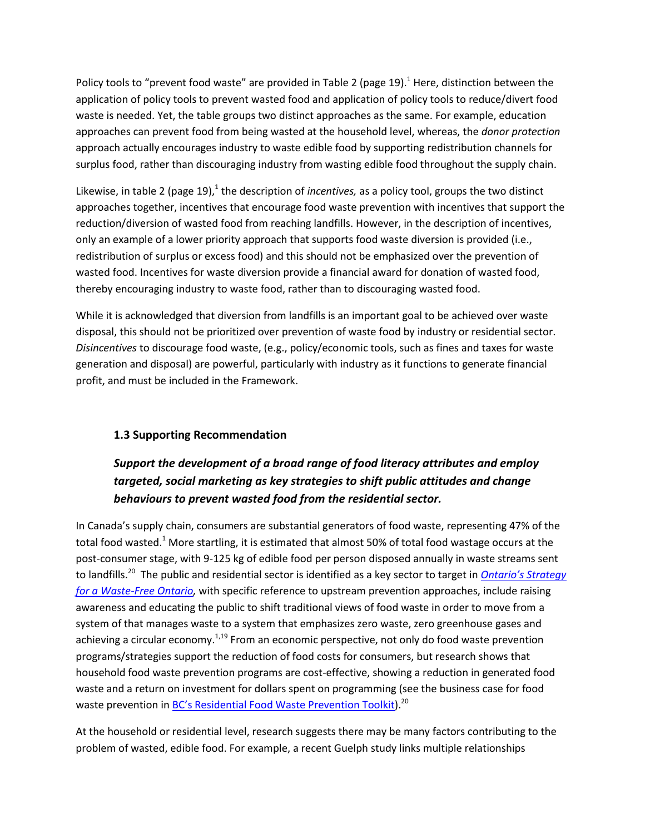Policy tools to "prevent food waste" are provided in Table 2 (page 19).<sup>1</sup> Here, distinction between the application of policy tools to prevent wasted food and application of policy tools to reduce/divert food waste is needed. Yet, the table groups two distinct approaches as the same. For example, education approaches can prevent food from being wasted at the household level, whereas, the *donor protection* approach actually encourages industry to waste edible food by supporting redistribution channels for surplus food, rather than discouraging industry from wasting edible food throughout the supply chain.

Likewise, in table 2 (page 19),<sup>1</sup> the description of *incentives*, as a policy tool, groups the two distinct approaches together, incentives that encourage food waste prevention with incentives that support the reduction/diversion of wasted food from reaching landfills. However, in the description of incentives, only an example of a lower priority approach that supports food waste diversion is provided (i.e., redistribution of surplus or excess food) and this should not be emphasized over the prevention of wasted food. Incentives for waste diversion provide a financial award for donation of wasted food, thereby encouraging industry to waste food, rather than to discouraging wasted food.

While it is acknowledged that diversion from landfills is an important goal to be achieved over waste disposal, this should not be prioritized over prevention of waste food by industry or residential sector. *Disincentives* to discourage food waste, (e.g., policy/economic tools, such as fines and taxes for waste generation and disposal) are powerful, particularly with industry as it functions to generate financial profit, and must be included in the Framework.

#### **1.3 Supporting Recommendation**

### *Support the development of a broad range of food literacy attributes and employ targeted, social marketing as key strategies to shift public attitudes and change behaviours to prevent wasted food from the residential sector.*

In Canada's supply chain, consumers are substantial generators of food waste, representing 47% of the total food wasted.<sup>1</sup> More startling, it is estimated that almost 50% of total food wastage occurs at the post-consumer stage, with 9-125 kg of edible food per person disposed annually in waste streams sent to landfills.<sup>20</sup> The public and residential sector is identified as a key sector to target in *Ontario's Strategy [for a Waste-Free Ontario,](https://files.ontario.ca/finalstrategywastefreeont_eng_aoda1_final-s.pdf)* with specific reference to upstream prevention approaches, include raising awareness and educating the public to shift traditional views of food waste in order to move from a system of that manages waste to a system that emphasizes zero waste, zero greenhouse gases and achieving a circular economy. $1,19$  From an economic perspective, not only do food waste prevention programs/strategies support the reduction of food costs for consumers, but research shows that household food waste prevention programs are cost-effective, showing a reduction in generated food waste and a return on investment for dollars spent on programming (see the business case for food waste prevention in [BC's Residential Food Waste Prevention Toolkit](http://www2.gov.bc.ca/assets/gov/environment/waste-management/recycling/organics/resources/food_waste_reduction_toolkit.pdf)).<sup>20</sup>

At the household or residential level, research suggests there may be many factors contributing to the problem of wasted, edible food. For example, a recent Guelph study links multiple relationships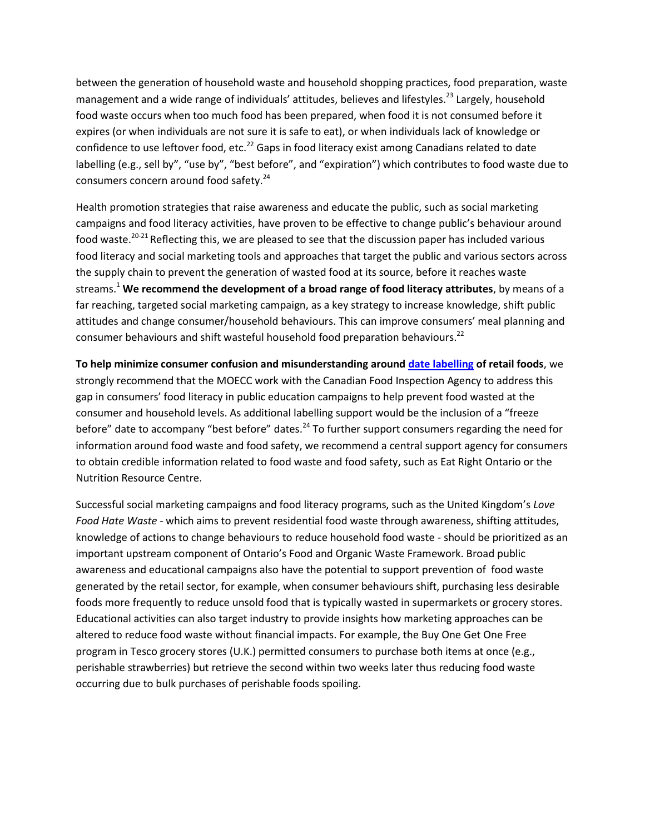between the generation of household waste and household shopping practices, food preparation, waste management and a wide range of individuals' attitudes, believes and lifestyles.<sup>23</sup> Largely, household food waste occurs when too much food has been prepared, when food it is not consumed before it expires (or when individuals are not sure it is safe to eat), or when individuals lack of knowledge or confidence to use leftover food, etc.<sup>22</sup> Gaps in food literacy exist among Canadians related to date labelling (e.g., sell by", "use by", "best before", and "expiration") which contributes to food waste due to consumers concern around food safety.<sup>24</sup>

Health promotion strategies that raise awareness and educate the public, such as social marketing campaigns and food literacy activities, have proven to be effective to change public's behaviour around food waste.<sup>20-21</sup> Reflecting this, we are pleased to see that the discussion paper has included various food literacy and social marketing tools and approaches that target the public and various sectors across the supply chain to prevent the generation of wasted food at its source, before it reaches waste streams.<sup>1</sup> **We recommend the development of a broad range of food literacy attributes**, by means of a far reaching, targeted social marketing campaign, as a key strategy to increase knowledge, shift public attitudes and change consumer/household behaviours. This can improve consumers' meal planning and consumer behaviours and shift wasteful household food preparation behaviours.<sup>22</sup>

**To help minimize consumer confusion and misunderstanding aroun[d date labelling](http://www.inspection.gc.ca/food/information-for-consumers/fact-sheets-and-infographics/date-labelling/eng/1332357469487/1332357545633) of retail foods**, we strongly recommend that the MOECC work with the Canadian Food Inspection Agency to address this gap in consumers' food literacy in public education campaigns to help prevent food wasted at the consumer and household levels. As additional labelling support would be the inclusion of a "freeze before" date to accompany "best before" dates. $^{24}$  To further support consumers regarding the need for information around food waste and food safety, we recommend a central support agency for consumers to obtain credible information related to food waste and food safety, such as Eat Right Ontario or the Nutrition Resource Centre.

Successful social marketing campaigns and food literacy programs, such as the United Kingdom's *Love Food Hate Waste -* which aims to prevent residential food waste through awareness, shifting attitudes, knowledge of actions to change behaviours to reduce household food waste - should be prioritized as an important upstream component of Ontario's Food and Organic Waste Framework. Broad public awareness and educational campaigns also have the potential to support prevention of food waste generated by the retail sector, for example, when consumer behaviours shift, purchasing less desirable foods more frequently to reduce unsold food that is typically wasted in supermarkets or grocery stores. Educational activities can also target industry to provide insights how marketing approaches can be altered to reduce food waste without financial impacts. For example, the Buy One Get One Free program in Tesco grocery stores (U.K.) permitted consumers to purchase both items at once (e.g., perishable strawberries) but retrieve the second within two weeks later thus reducing food waste occurring due to bulk purchases of perishable foods spoiling.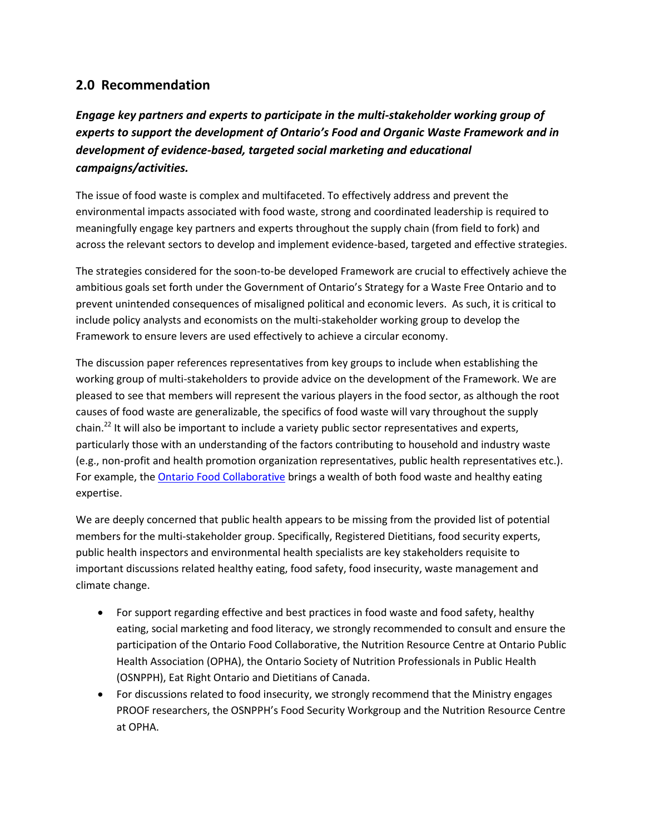### **2.0 Recommendation**

*Engage key partners and experts to participate in the multi-stakeholder working group of experts to support the development of Ontario's Food and Organic Waste Framework and in development of evidence-based, targeted social marketing and educational campaigns/activities.*

The issue of food waste is complex and multifaceted. To effectively address and prevent the environmental impacts associated with food waste, strong and coordinated leadership is required to meaningfully engage key partners and experts throughout the supply chain (from field to fork) and across the relevant sectors to develop and implement evidence-based, targeted and effective strategies.

The strategies considered for the soon-to-be developed Framework are crucial to effectively achieve the ambitious goals set forth under the Government of Ontario's Strategy for a Waste Free Ontario and to prevent unintended consequences of misaligned political and economic levers. As such, it is critical to include policy analysts and economists on the multi-stakeholder working group to develop the Framework to ensure levers are used effectively to achieve a circular economy.

The discussion paper references representatives from key groups to include when establishing the working group of multi-stakeholders to provide advice on the development of the Framework. We are pleased to see that members will represent the various players in the food sector, as although the root causes of food waste are generalizable, the specifics of food waste will vary throughout the supply chain.<sup>22</sup> It will also be important to include a variety public sector representatives and experts, particularly those with an understanding of the factors contributing to household and industry waste (e.g., non-profit and health promotion organization representatives, public health representatives etc.). For example, the [Ontario Food Collaborative](https://www.google.ca/url?sa=t&rct=j&q=&esrc=s&source=web&cd=1&cad=rja&uact=8&ved=0ahUKEwj2-5P9p7TVAhXqyoMKHQ_PC9wQFggmMAA&url=http%3A%2F%2Fekonomos.com%2Fwp-content%2Fuploads%2F2016%2F04%2FFood_Collab_Strategic_Plan.pdf&usg=AFQjCNEHyEb93h4k4nEV-8uiSfy0aULUHA) brings a wealth of both food waste and healthy eating expertise.

We are deeply concerned that public health appears to be missing from the provided list of potential members for the multi-stakeholder group. Specifically, Registered Dietitians, food security experts, public health inspectors and environmental health specialists are key stakeholders requisite to important discussions related healthy eating, food safety, food insecurity, waste management and climate change.

- For support regarding effective and best practices in food waste and food safety, healthy eating, social marketing and food literacy, we strongly recommended to consult and ensure the participation of the Ontario Food Collaborative, the Nutrition Resource Centre at Ontario Public Health Association (OPHA), the Ontario Society of Nutrition Professionals in Public Health (OSNPPH), Eat Right Ontario and Dietitians of Canada.
- For discussions related to food insecurity, we strongly recommend that the Ministry engages PROOF researchers, the OSNPPH's Food Security Workgroup and the Nutrition Resource Centre at OPHA.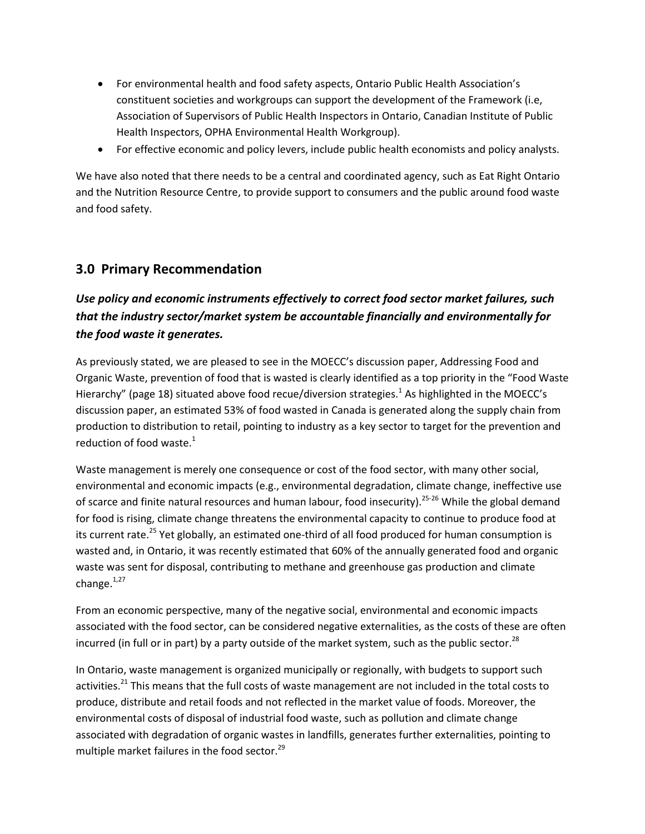- For environmental health and food safety aspects, Ontario Public Health Association's constituent societies and workgroups can support the development of the Framework (i.e, Association of Supervisors of Public Health Inspectors in Ontario, Canadian Institute of Public Health Inspectors, OPHA Environmental Health Workgroup).
- For effective economic and policy levers, include public health economists and policy analysts.

We have also noted that there needs to be a central and coordinated agency, such as Eat Right Ontario and the Nutrition Resource Centre, to provide support to consumers and the public around food waste and food safety.

### **3.0 Primary Recommendation**

### *Use policy and economic instruments effectively to correct food sector market failures, such that the industry sector/market system be accountable financially and environmentally for the food waste it generates.*

As previously stated, we are pleased to see in the MOECC's discussion paper, Addressing Food and Organic Waste, prevention of food that is wasted is clearly identified as a top priority in the "Food Waste Hierarchy" (page 18) situated above food recue/diversion strategies.<sup>1</sup> As highlighted in the MOECC's discussion paper, an estimated 53% of food wasted in Canada is generated along the supply chain from production to distribution to retail, pointing to industry as a key sector to target for the prevention and reduction of food waste. $1$ 

Waste management is merely one consequence or cost of the food sector, with many other social, environmental and economic impacts (e.g., environmental degradation, climate change, ineffective use of scarce and finite natural resources and human labour, food insecurity).<sup>25-26</sup> While the global demand for food is rising, climate change threatens the environmental capacity to continue to produce food at its current rate.<sup>25</sup> Yet globally, an estimated one-third of all food produced for human consumption is wasted and, in Ontario, it was recently estimated that 60% of the annually generated food and organic waste was sent for disposal, contributing to methane and greenhouse gas production and climate change. $1,27$ 

From an economic perspective, many of the negative social, environmental and economic impacts associated with the food sector, can be considered negative externalities, as the costs of these are often incurred (in full or in part) by a party outside of the market system, such as the public sector.<sup>28</sup>

In Ontario, waste management is organized municipally or regionally, with budgets to support such activities.<sup>21</sup> This means that the full costs of waste management are not included in the total costs to produce, distribute and retail foods and not reflected in the market value of foods. Moreover, the environmental costs of disposal of industrial food waste, such as pollution and climate change associated with degradation of organic wastes in landfills, generates further externalities, pointing to multiple market failures in the food sector.<sup>29</sup>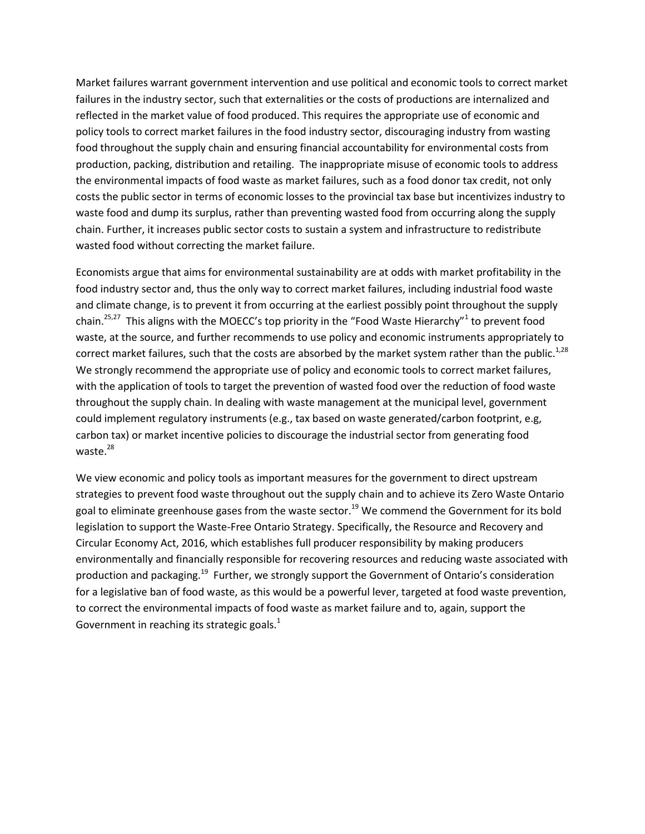Market failures warrant government intervention and use political and economic tools to correct market failures in the industry sector, such that externalities or the costs of productions are internalized and reflected in the market value of food produced. This requires the appropriate use of economic and policy tools to correct market failures in the food industry sector, discouraging industry from wasting food throughout the supply chain and ensuring financial accountability for environmental costs from production, packing, distribution and retailing. The inappropriate misuse of economic tools to address the environmental impacts of food waste as market failures, such as a food donor tax credit, not only costs the public sector in terms of economic losses to the provincial tax base but incentivizes industry to waste food and dump its surplus, rather than preventing wasted food from occurring along the supply chain. Further, it increases public sector costs to sustain a system and infrastructure to redistribute wasted food without correcting the market failure.

Economists argue that aims for environmental sustainability are at odds with market profitability in the food industry sector and, thus the only way to correct market failures, including industrial food waste and climate change, is to prevent it from occurring at the earliest possibly point throughout the supply chain.<sup>25,27</sup> This aligns with the MOECC's top priority in the "Food Waste Hierarchy"<sup>1</sup> to prevent food waste, at the source, and further recommends to use policy and economic instruments appropriately to correct market failures, such that the costs are absorbed by the market system rather than the public.<sup>1,28</sup> We strongly recommend the appropriate use of policy and economic tools to correct market failures, with the application of tools to target the prevention of wasted food over the reduction of food waste throughout the supply chain. In dealing with waste management at the municipal level, government could implement regulatory instruments (e.g., tax based on waste generated/carbon footprint, e.g, carbon tax) or market incentive policies to discourage the industrial sector from generating food waste.<sup>28</sup>

We view economic and policy tools as important measures for the government to direct upstream strategies to prevent food waste throughout out the supply chain and to achieve its Zero Waste Ontario goal to eliminate greenhouse gases from the waste sector.<sup>19</sup> We commend the Government for its bold legislation to support the Waste-Free Ontario Strategy. Specifically, the Resource and Recovery and Circular Economy Act, 2016, which establishes full producer responsibility by making producers environmentally and financially responsible for recovering resources and reducing waste associated with production and packaging.<sup>19</sup> Further, we strongly support the Government of Ontario's consideration for a legislative ban of food waste, as this would be a powerful lever, targeted at food waste prevention, to correct the environmental impacts of food waste as market failure and to, again, support the Government in reaching its strategic goals. $<sup>1</sup>$ </sup>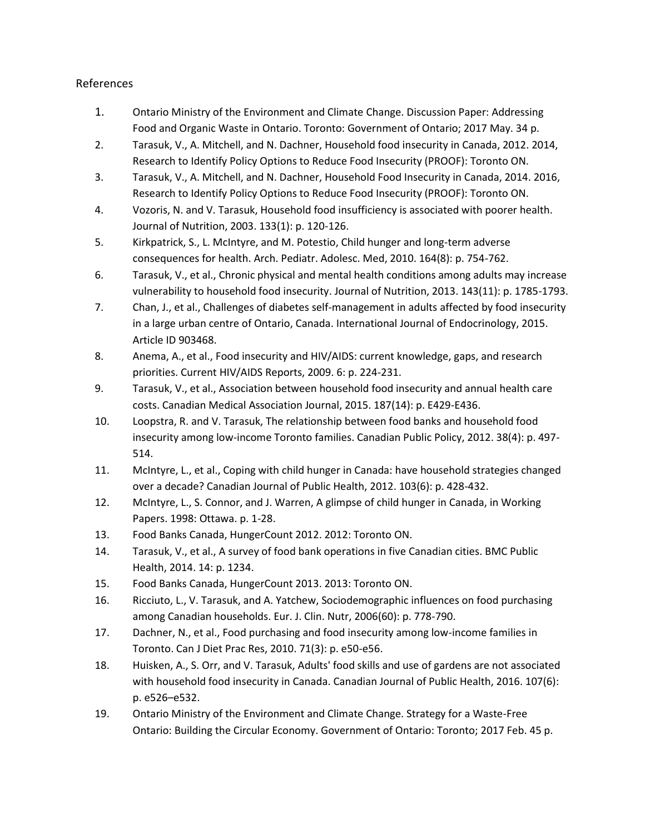#### References

- 1. Ontario Ministry of the Environment and Climate Change. Discussion Paper: Addressing Food and Organic Waste in Ontario. Toronto: Government of Ontario; 2017 May. 34 p.
- 2. Tarasuk, V., A. Mitchell, and N. Dachner, Household food insecurity in Canada, 2012. 2014, Research to Identify Policy Options to Reduce Food Insecurity (PROOF): Toronto ON.
- 3. Tarasuk, V., A. Mitchell, and N. Dachner, Household Food Insecurity in Canada, 2014. 2016, Research to Identify Policy Options to Reduce Food Insecurity (PROOF): Toronto ON.
- 4. Vozoris, N. and V. Tarasuk, Household food insufficiency is associated with poorer health. Journal of Nutrition, 2003. 133(1): p. 120-126.
- 5. Kirkpatrick, S., L. McIntyre, and M. Potestio, Child hunger and long-term adverse consequences for health. Arch. Pediatr. Adolesc. Med, 2010. 164(8): p. 754-762.
- 6. Tarasuk, V., et al., Chronic physical and mental health conditions among adults may increase vulnerability to household food insecurity. Journal of Nutrition, 2013. 143(11): p. 1785-1793.
- 7. Chan, J., et al., Challenges of diabetes self-management in adults affected by food insecurity in a large urban centre of Ontario, Canada. International Journal of Endocrinology, 2015. Article ID 903468.
- 8. Anema, A., et al., Food insecurity and HIV/AIDS: current knowledge, gaps, and research priorities. Current HIV/AIDS Reports, 2009. 6: p. 224-231.
- 9. Tarasuk, V., et al., Association between household food insecurity and annual health care costs. Canadian Medical Association Journal, 2015. 187(14): p. E429-E436.
- 10. Loopstra, R. and V. Tarasuk, The relationship between food banks and household food insecurity among low-income Toronto families. Canadian Public Policy, 2012. 38(4): p. 497- 514.
- 11. McIntyre, L., et al., Coping with child hunger in Canada: have household strategies changed over a decade? Canadian Journal of Public Health, 2012. 103(6): p. 428-432.
- 12. McIntyre, L., S. Connor, and J. Warren, A glimpse of child hunger in Canada, in Working Papers. 1998: Ottawa. p. 1-28.
- 13. Food Banks Canada, HungerCount 2012. 2012: Toronto ON.
- 14. Tarasuk, V., et al., A survey of food bank operations in five Canadian cities. BMC Public Health, 2014. 14: p. 1234.
- 15. Food Banks Canada, HungerCount 2013. 2013: Toronto ON.
- 16. Ricciuto, L., V. Tarasuk, and A. Yatchew, Sociodemographic influences on food purchasing among Canadian households. Eur. J. Clin. Nutr, 2006(60): p. 778-790.
- 17. Dachner, N., et al., Food purchasing and food insecurity among low-income families in Toronto. Can J Diet Prac Res, 2010. 71(3): p. e50-e56.
- 18. Huisken, A., S. Orr, and V. Tarasuk, Adults' food skills and use of gardens are not associated with household food insecurity in Canada. Canadian Journal of Public Health, 2016. 107(6): p. e526–e532.
- 19. Ontario Ministry of the Environment and Climate Change. Strategy for a Waste-Free Ontario: Building the Circular Economy. Government of Ontario: Toronto; 2017 Feb. 45 p.